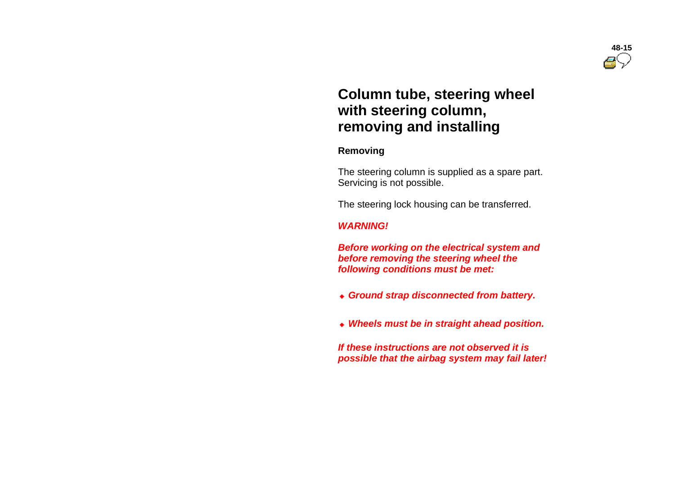# **Column tube, steering wheel with steering column, removing and installing**

#### **Removing**

 The steering column is supplied as a spare part. Servicing is not possible.

The steering lock housing can be transferred.

# *WARNING!*

 *Before working on the electrical system and before removing the steering wheel the following conditions must be met:*

- *Ground strap disconnected from battery.*
- *Wheels must be in straight ahead position.*

 *If these instructions are not observed it is possible that the airbag system may fail later!*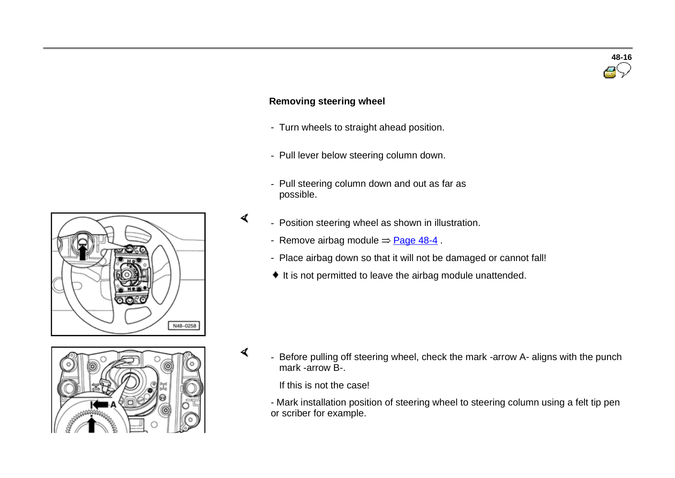# **Removing steering wheel**

 $\blacktriangleleft$ 

 $\prec$ 

- Turn wheels to straight ahead position.
- Pull lever below steering column down.
- Pull steering column down and out as far as possible.
- Position steering wheel as shown in illustration.
	- Remove airbag module  $=$  Page 48-4.
	- Place airbag down so that it will not be damaged or cannot fall!
	- $\bullet$  It is not permitted to leave the airbag module unattended.

Before pulling off steering wheel, check the mark -arrow A- aligns with the punch mark -arrow B-.

**48-16**

If this is not the case!

- Mark installation position of steering wheel to steering column using a felt tip pen or scriber for example.



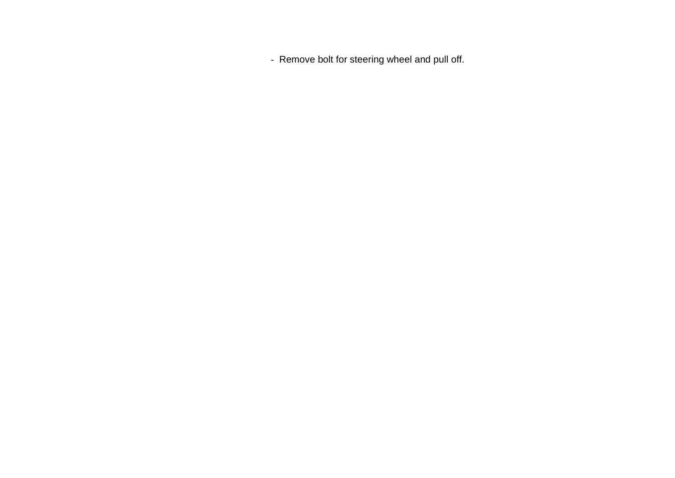- Remove bolt for steering wheel and pull off.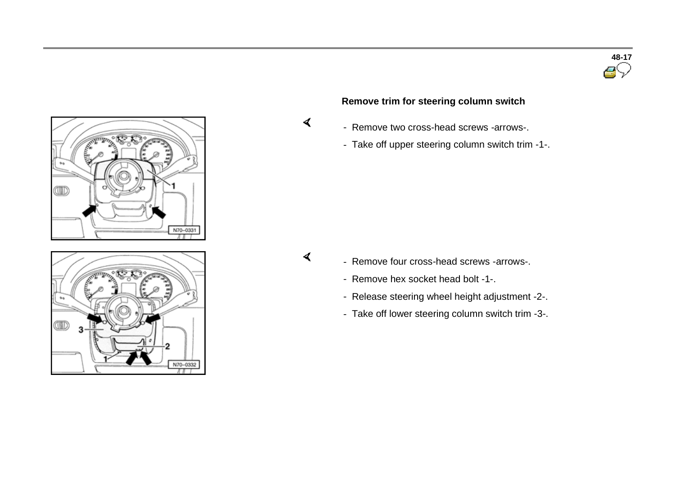



# **Remove trim for steering column switch**

- Remove two cross-head screws -arrows-.
- Take off upper steering column switch trim -1-.

 $\sigma$ 

 $\prec$ 

- Remove four cross-head screws -arrows-.
- Remove hex socket head bolt -1-.
- Release steering wheel height adjustment -2-.
- Take off lower steering column switch trim -3-.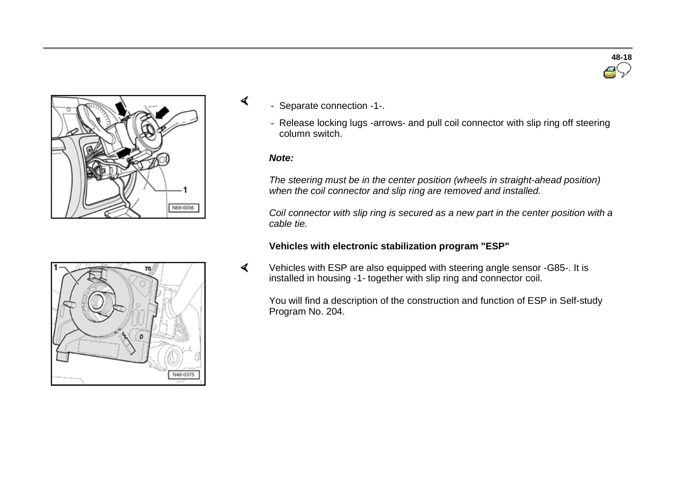

- Separate connection -1-.
	- Release locking lugs -arrows- and pull coil connector with slip ring off steering column switch.

#### *Note:*

 $\blacktriangleleft$ 

*The steering must be in the center position (wheels in straight-ahead position) when the coil connector and slip ring are removed and installed.*

*Coil connector with slip ring is secured as a new part in the center position with a cable tie.*

#### **Vehicles with electronic stabilization program "ESP"**

 $\blacktriangleleft$  Vehicles with ESP are also equipped with steering angle sensor -G85-. It is installed in housing -1- together with slip ring and connector coil.

You will find a description of the construction and function of ESP in Self-study Program No. 204.



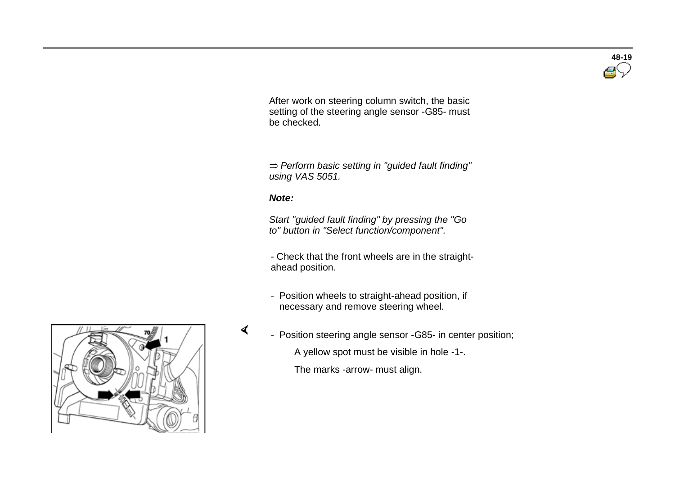After work on steering column switch, the basic setting of the steering angle sensor -G85- must be checked.

 *Perform basic setting in "guided fault finding" using VAS 5051.*

#### *Note:*

 *Start "guided fault finding" by pressing the "Go to" button in "Select function/component".*

- Check that the front wheels are in the straightahead position.

- Position wheels to straight-ahead position, if necessary and remove steering wheel.
- 



A yellow spot must be visible in hole -1-.

The marks -arrow- must align.



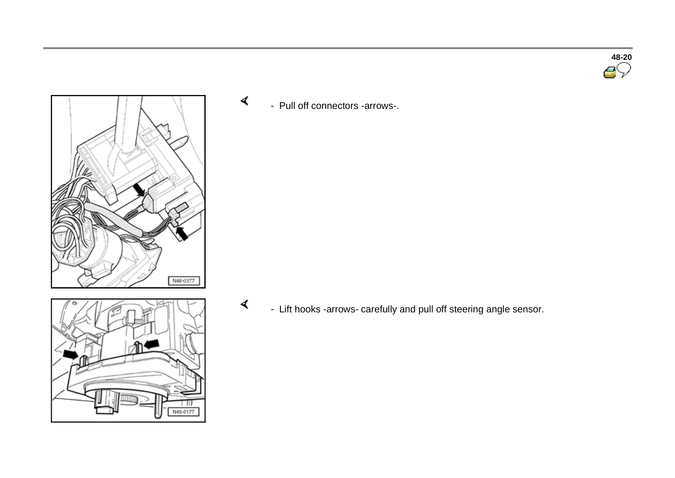**48-20**



 $\prec$ - Pull off connectors -arrows-.

 $\blacktriangleleft$ 

N45-0177

- Lift hooks -arrows- carefully and pull off steering angle sensor.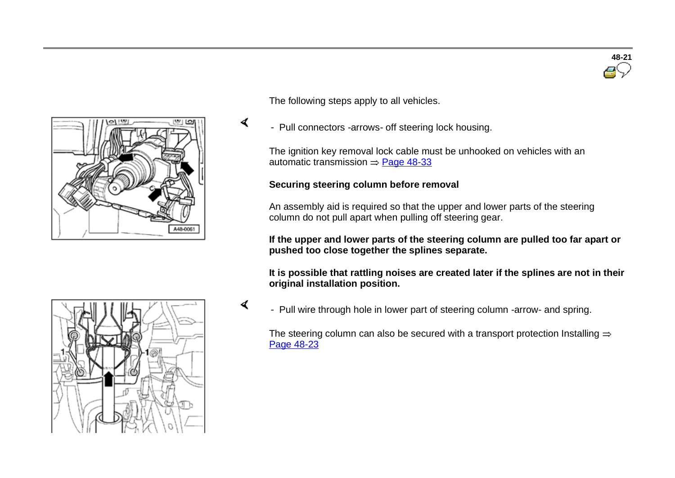

The following steps apply to all vehicles.

 $\sigma$ 

 $\blacktriangleleft$ 

- Pull connectors -arrows- off steering lock housing.

The ignition key removal lock cable must be unhooked on vehicles with an automatic transmission  $=$  Page 48-33

#### **Securing steering column before removal**

An assembly aid is required so that the upper and lower parts of the steering column do not pull apart when pulling off steering gear.

**If the upper and lower parts of the steering column are pulled too far apart or pushed too close together the splines separate.**

**It is possible that rattling noises are created later if the splines are not in their original installation position.**

- Pull wire through hole in lower part of steering column -arrow- and spring.

The steering column can also be secured with a transport protection Installing  $\Rightarrow$ Page 48-23



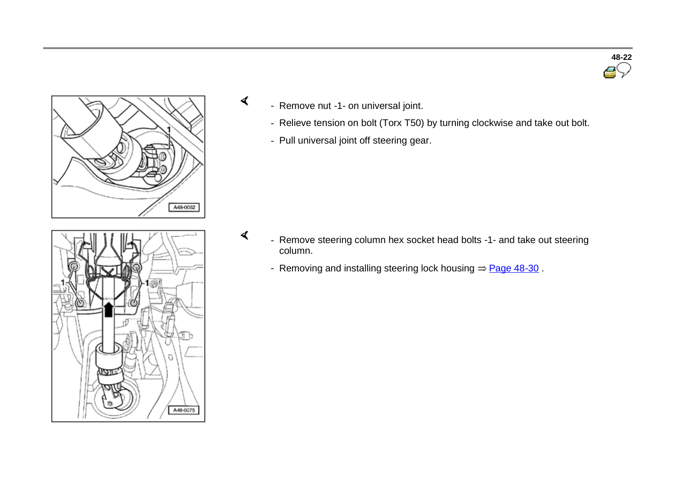

- Remove nut -1- on universal joint.

 $\prec$ 

 $\blacktriangleleft$ 

- Relieve tension on bolt (Torx T50) by turning clockwise and take out bolt.
- Pull universal joint off steering gear.



- Remove steering column hex socket head bolts -1- and take out steering column.
	- Removing and installing steering lock housing  $=$  Page 48-30.

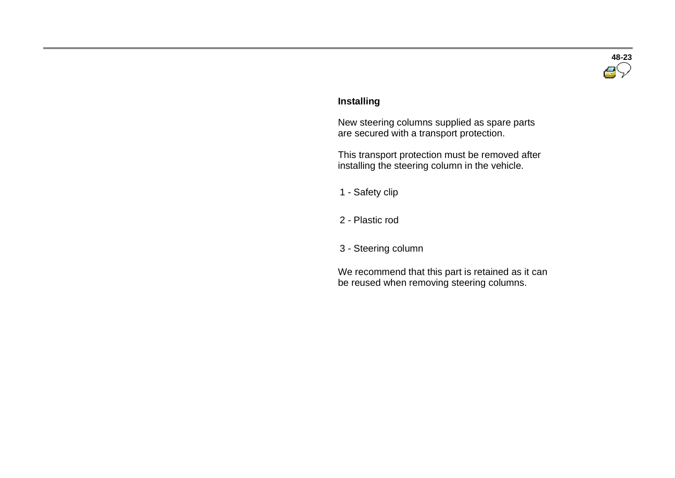

#### **Installing**

 New steering columns supplied as spare parts are secured with a transport protection.

 This transport protection must be removed after installing the steering column in the vehicle.

<sup>1</sup> - Safety clip

<sup>2</sup> - Plastic rod

<sup>3</sup> - Steering column

 We recommend that this part is retained as it can be reused when removing steering columns.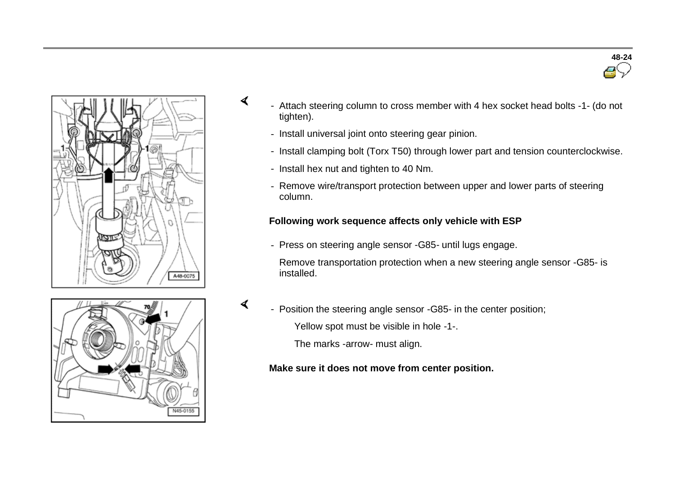



- Attach steering column to cross member with 4 hex socket head bolts -1- (do not tighten).
	- Install universal joint onto steering gear pinion.
	- Install clamping bolt (Torx T50) through lower part and tension counterclockwise.
	- Install hex nut and tighten to 40 Nm.

4

 $\prec$ 

- Remove wire/transport protection between upper and lower parts of steering column.

# **Following work sequence affects only vehicle with ESP**

- Press on steering angle sensor -G85- until lugs engage.

 Remove transportation protection when a new steering angle sensor -G85- is installed.



- Position the steering angle sensor -G85- in the center position;

Yellow spot must be visible in hole -1-.

The marks -arrow- must align.

#### **Make sure it does not move from center position.**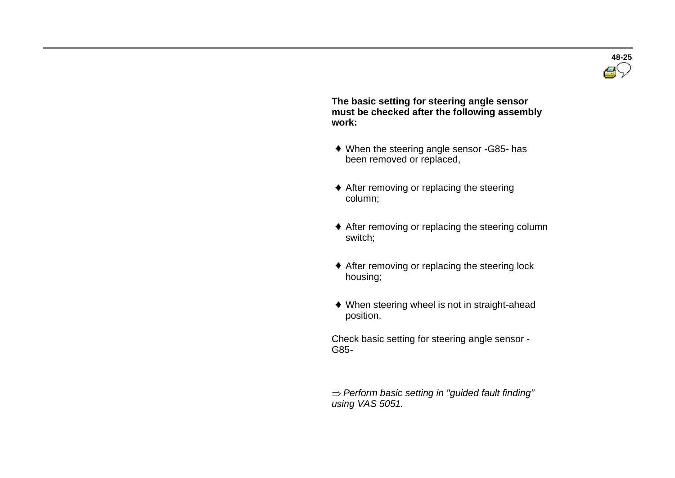

 **The basic setting for steering angle sensor must be checked after the following assembly work:** 

- When the steering angle sensor -G85- has been removed or replaced,
- After removing or replacing the steering column;
- After removing or replacing the steering column switch;
- After removing or replacing the steering lock housing;
- When steering wheel is not in straight-ahead position.

 Check basic setting for steering angle sensor - G85-

 *Perform basic setting in "guided fault finding" using VAS 5051.*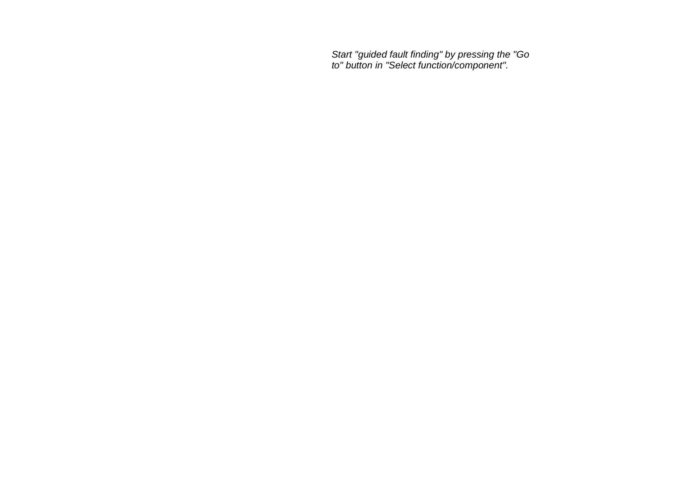*Start "guided fault finding" by pressing the "Go to" button in "Select function/component".*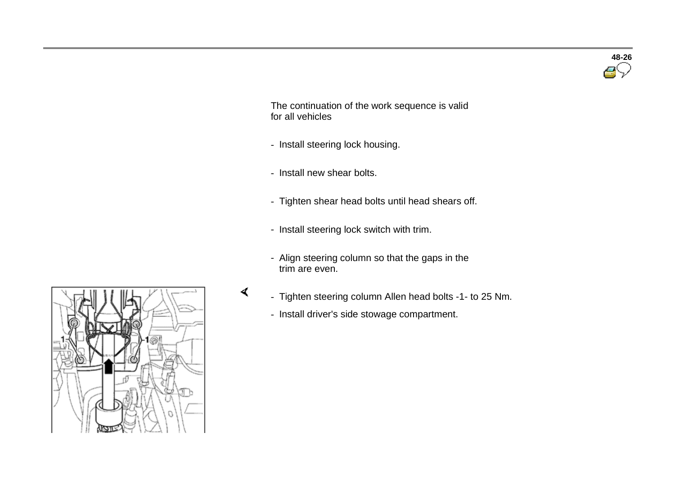

 The continuation of the work sequence is valid for all vehicles

- Install steering lock housing.
- Install new shear bolts.

 $\prec$ 

- Tighten shear head bolts until head shears off.
- Install steering lock switch with trim.
- Align steering column so that the gaps in the trim are even.
- Tighten steering column Allen head bolts -1- to 25 Nm.
	- Install driver's side stowage compartment.

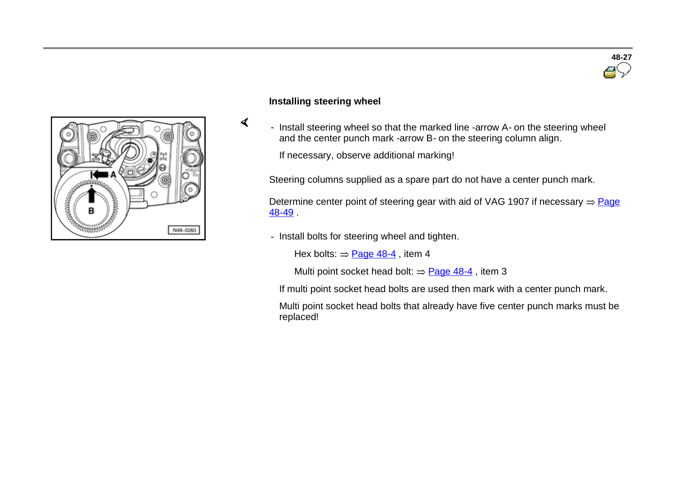

#### **Installing steering wheel**

 $\sigma$ 

- Install steering wheel so that the marked line -arrow A- on the steering wheel and the center punch mark -arrow B- on the steering column align.

If necessary, observe additional marking!

Steering columns supplied as a spare part do not have a center punch mark.

Determine center point of steering gear with aid of VAG 1907 if necessary  $=$  Page 48-49 .

- Install bolts for steering wheel and tighten.

Hex bolts:  $=$  Page 48-4, item 4

Multi point socket head bolt:  $\Rightarrow$  Page 48-4, item 3

If multi point socket head bolts are used then mark with a center punch mark.

 Multi point socket head bolts that already have five center punch marks must be replaced!

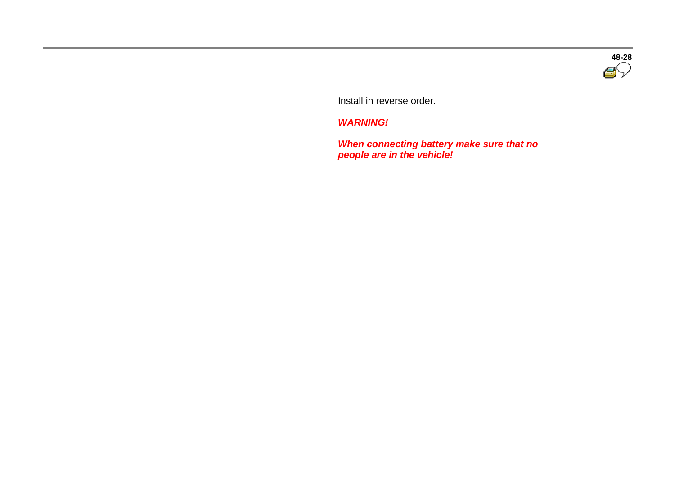

Install in reverse order.

*WARNING!*

 *When connecting battery make sure that no people are in the vehicle!*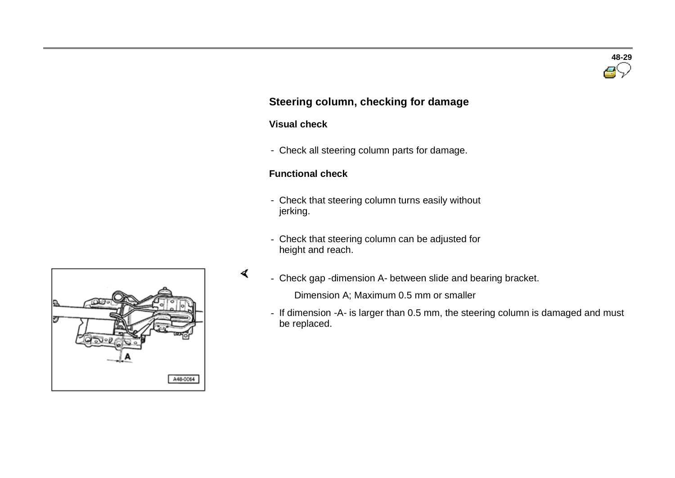

# **Steering column, checking for damage**

# **Visual check**

 $\prec$ 

- Check all steering column parts for damage.

# **Functional check**

- Check that steering column turns easily without jerking.
- Check that steering column can be adjusted for height and reach.
- Check gap -dimension A- between slide and bearing bracket.

Dimension A; Maximum 0.5 mm or smaller

- If dimension -A- is larger than 0.5 mm, the steering column is damaged and must be replaced.

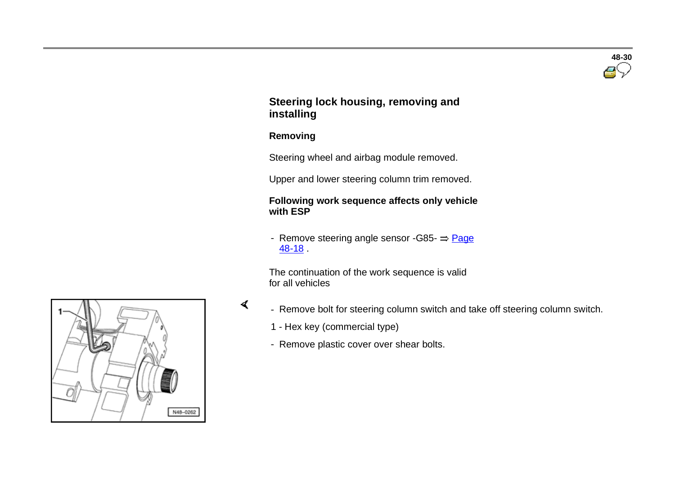# **48-30**

# **Steering lock housing, removing and installing**

### **Removing**

 $\prec$ 

Steering wheel and airbag module removed.

Upper and lower steering column trim removed.

#### **Following work sequence affects only vehicle with ESP**

- Remove steering angle sensor -G85- $\Rightarrow$  Page 48-18 .

 The continuation of the work sequence is valid for all vehicles

- Remove bolt for steering column switch and take off steering column switch.
	- 1 Hex key (commercial type)
	- Remove plastic cover over shear bolts.

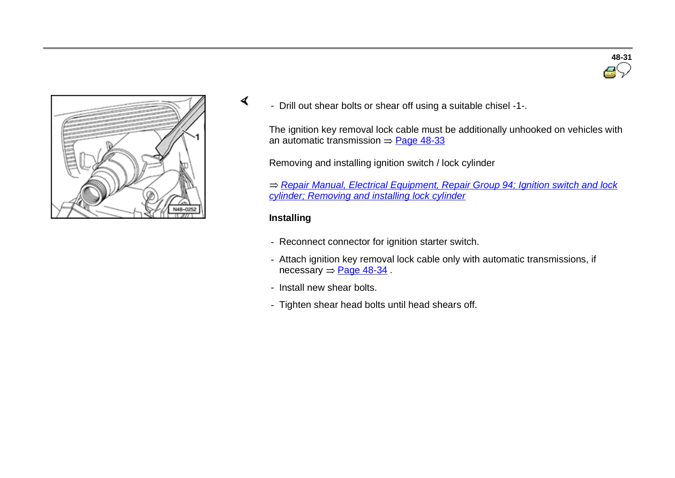

- Drill out shear bolts or shear off using a suitable chisel -1-.

The ignition key removal lock cable must be additionally unhooked on vehicles with an automatic transmission  $=$  Page 48-33

Removing and installing ignition switch / lock cylinder

*Repair Manual, Electrical Equipment, Repair Group 94; Ignition switch and lock cylinder; Removing and installing lock cylinder*

#### **Installing**

 $\sigma$ 

- Reconnect connector for ignition starter switch.
- Attach ignition key removal lock cable only with automatic transmissions, if necessary  $=$  Page 48-34.
- Install new shear bolts.
- Tighten shear head bolts until head shears off.

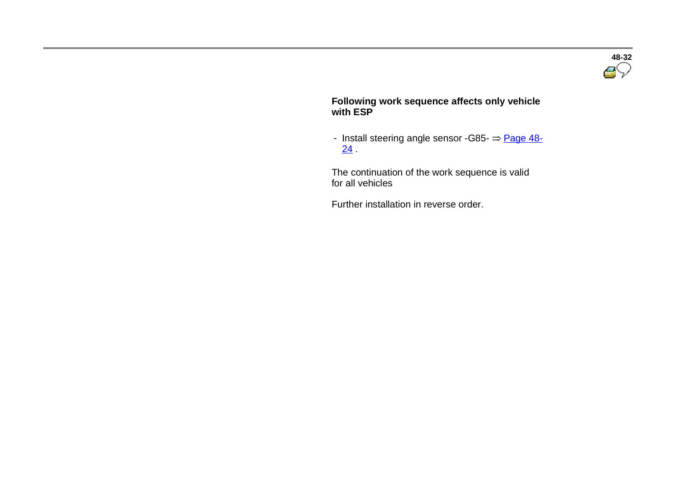

#### **Following work sequence affects only vehicle with ESP**

- Install steering angle sensor -G85-  $\Rightarrow$  Page 48- $24$ 

 The continuation of the work sequence is valid for all vehicles

Further installation in reverse order.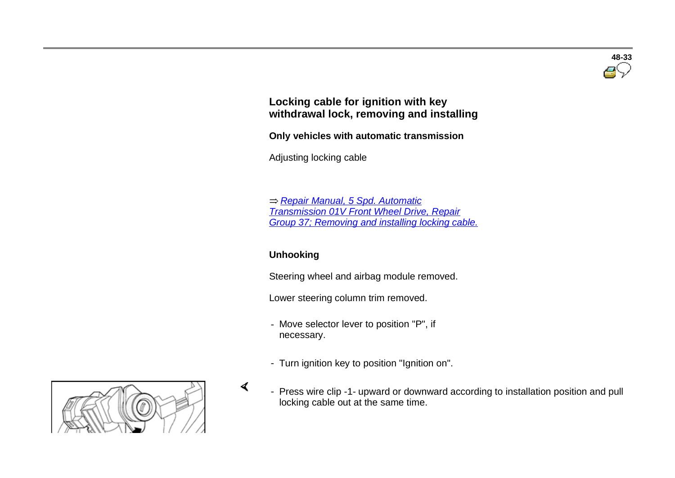

# **Locking cable for ignition with key withdrawal lock, removing and installing**

**Only vehicles with automatic transmission** 

Adjusting locking cable

 *Repair Manual, 5 Spd. Automatic Transmission 01V Front Wheel Drive, Repair Group 37; Removing and installing locking cable.*

# **Unhooking**

 $\sigma$ 

Steering wheel and airbag module removed.

Lower steering column trim removed.

- Move selector lever to position "P", if necessary.
- Turn ignition key to position "Ignition on".



 - Press wire clip -1- upward or downward according to installation position and pull locking cable out at the same time.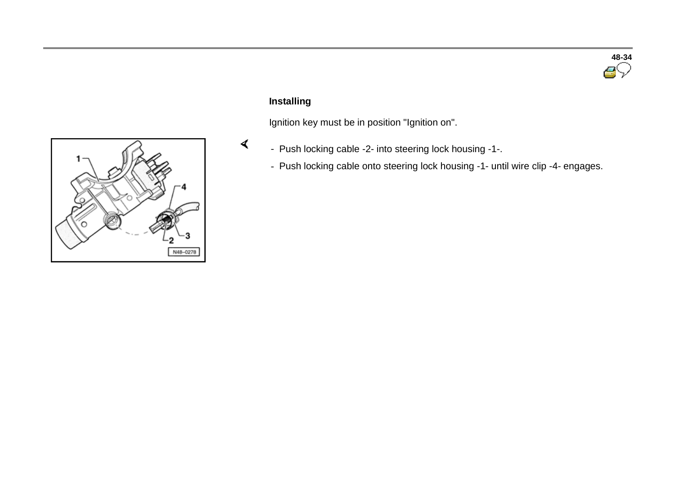

# **Installing**

 $\blacktriangleleft$ 

Ignition key must be in position "Ignition on".

- Push locking cable -2- into steering lock housing -1-.
- Push locking cable onto steering lock housing -1- until wire clip -4- engages.